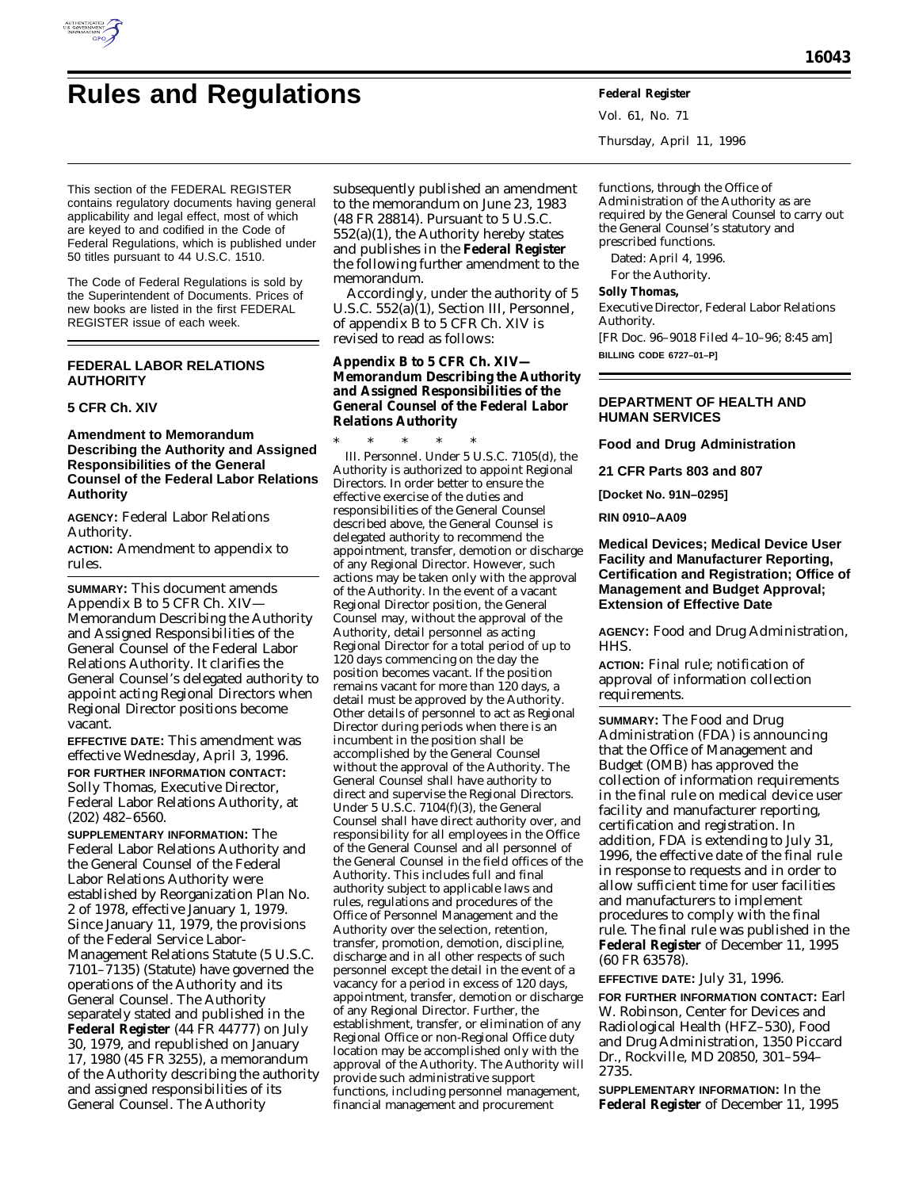

# **Rules and Regulations Federal Register**

Vol. 61, No. 71 Thursday, April 11, 1996

This section of the FEDERAL REGISTER contains regulatory documents having general applicability and legal effect, most of which are keyed to and codified in the Code of Federal Regulations, which is published under 50 titles pursuant to 44 U.S.C. 1510.

The Code of Federal Regulations is sold by the Superintendent of Documents. Prices of new books are listed in the first FEDERAL REGISTER issue of each week.

## **FEDERAL LABOR RELATIONS AUTHORITY**

### **5 CFR Ch. XIV**

#### **Amendment to Memorandum Describing the Authority and Assigned Responsibilities of the General Counsel of the Federal Labor Relations Authority**

**AGENCY:** Federal Labor Relations Authority.

**ACTION:** Amendment to appendix to rules.

**SUMMARY:** This document amends Appendix B to 5 CFR Ch. XIV— Memorandum Describing the Authority and Assigned Responsibilities of the General Counsel of the Federal Labor Relations Authority. It clarifies the General Counsel's delegated authority to appoint acting Regional Directors when Regional Director positions become vacant.

**EFFECTIVE DATE:** This amendment was effective Wednesday, April 3, 1996.

**FOR FURTHER INFORMATION CONTACT:** Solly Thomas, Executive Director, Federal Labor Relations Authority, at (202) 482–6560.

**SUPPLEMENTARY INFORMATION:** The Federal Labor Relations Authority and the General Counsel of the Federal Labor Relations Authority were established by Reorganization Plan No. 2 of 1978, effective January 1, 1979. Since January 11, 1979, the provisions of the Federal Service Labor-Management Relations Statute (5 U.S.C. 7101–7135) (Statute) have governed the operations of the Authority and its General Counsel. The Authority separately stated and published in the **Federal Register** (44 FR 44777) on July 30, 1979, and republished on January 17, 1980 (45 FR 3255), a memorandum of the Authority describing the authority and assigned responsibilities of its General Counsel. The Authority

subsequently published an amendment to the memorandum on June 23, 1983 (48 FR 28814). Pursuant to 5 U.S.C. 552(a)(1), the Authority hereby states and publishes in the **Federal Register** the following further amendment to the memorandum.

Accordingly, under the authority of 5 U.S.C. 552(a)(1), Section III, *Personnel,* of appendix B to 5 CFR Ch. XIV is revised to read as follows:

**Appendix B to 5 CFR Ch. XIV— Memorandum Describing the Authority and Assigned Responsibilities of the General Counsel of the Federal Labor Relations Authority**

\* \* \* \* \* III. Personnel. Under 5 U.S.C. 7105(d), the Authority is authorized to appoint Regional Directors. In order better to ensure the effective exercise of the duties and responsibilities of the General Counsel described above, the General Counsel is delegated authority to recommend the appointment, transfer, demotion or discharge of any Regional Director. However, such actions may be taken only with the approval of the Authority. In the event of a vacant Regional Director position, the General Counsel may, without the approval of the Authority, detail personnel as acting Regional Director for a total period of up to 120 days commencing on the day the position becomes vacant. If the position remains vacant for more than 120 days, a detail must be approved by the Authority. Other details of personnel to act as Regional Director during periods when there is an incumbent in the position shall be accomplished by the General Counsel without the approval of the Authority. The General Counsel shall have authority to direct and supervise the Regional Directors. Under 5 U.S.C.  $7104(f)(3)$ , the General Counsel shall have direct authority over, and responsibility for all employees in the Office of the General Counsel and all personnel of the General Counsel in the field offices of the Authority. This includes full and final authority subject to applicable laws and rules, regulations and procedures of the Office of Personnel Management and the Authority over the selection, retention, transfer, promotion, demotion, discipline, discharge and in all other respects of such personnel except the detail in the event of a vacancy for a period in excess of 120 days, appointment, transfer, demotion or discharge of any Regional Director. Further, the establishment, transfer, or elimination of any Regional Office or non-Regional Office duty location may be accomplished only with the approval of the Authority. The Authority will provide such administrative support functions, including personnel management, financial management and procurement

functions, through the Office of Administration of the Authority as are required by the General Counsel to carry out the General Counsel's statutory and prescribed functions.

Dated: April 4, 1996.

For the Authority.

**Solly Thomas,**

*Executive Director, Federal Labor Relations Authority.*

[FR Doc. 96–9018 Filed 4–10–96; 8:45 am] **BILLING CODE 6727–01–P]**

**DEPARTMENT OF HEALTH AND HUMAN SERVICES**

**Food and Drug Administration**

**21 CFR Parts 803 and 807**

**[Docket No. 91N–0295]**

**RIN 0910–AA09**

### **Medical Devices; Medical Device User Facility and Manufacturer Reporting, Certification and Registration; Office of Management and Budget Approval; Extension of Effective Date**

**AGENCY:** Food and Drug Administration, HHS.

**ACTION:** Final rule; notification of approval of information collection requirements.

**SUMMARY:** The Food and Drug Administration (FDA) is announcing that the Office of Management and Budget (OMB) has approved the collection of information requirements in the final rule on medical device user facility and manufacturer reporting, certification and registration. In addition, FDA is extending to July 31, 1996, the effective date of the final rule in response to requests and in order to allow sufficient time for user facilities and manufacturers to implement procedures to comply with the final rule. The final rule was published in the **Federal Register** of December 11, 1995 (60 FR 63578).

**EFFECTIVE DATE:** July 31, 1996.

**FOR FURTHER INFORMATION CONTACT:** Earl W. Robinson, Center for Devices and Radiological Health (HFZ–530), Food and Drug Administration, 1350 Piccard Dr., Rockville, MD 20850, 301–594– 2735.

**SUPPLEMENTARY INFORMATION:** In the **Federal Register** of December 11, 1995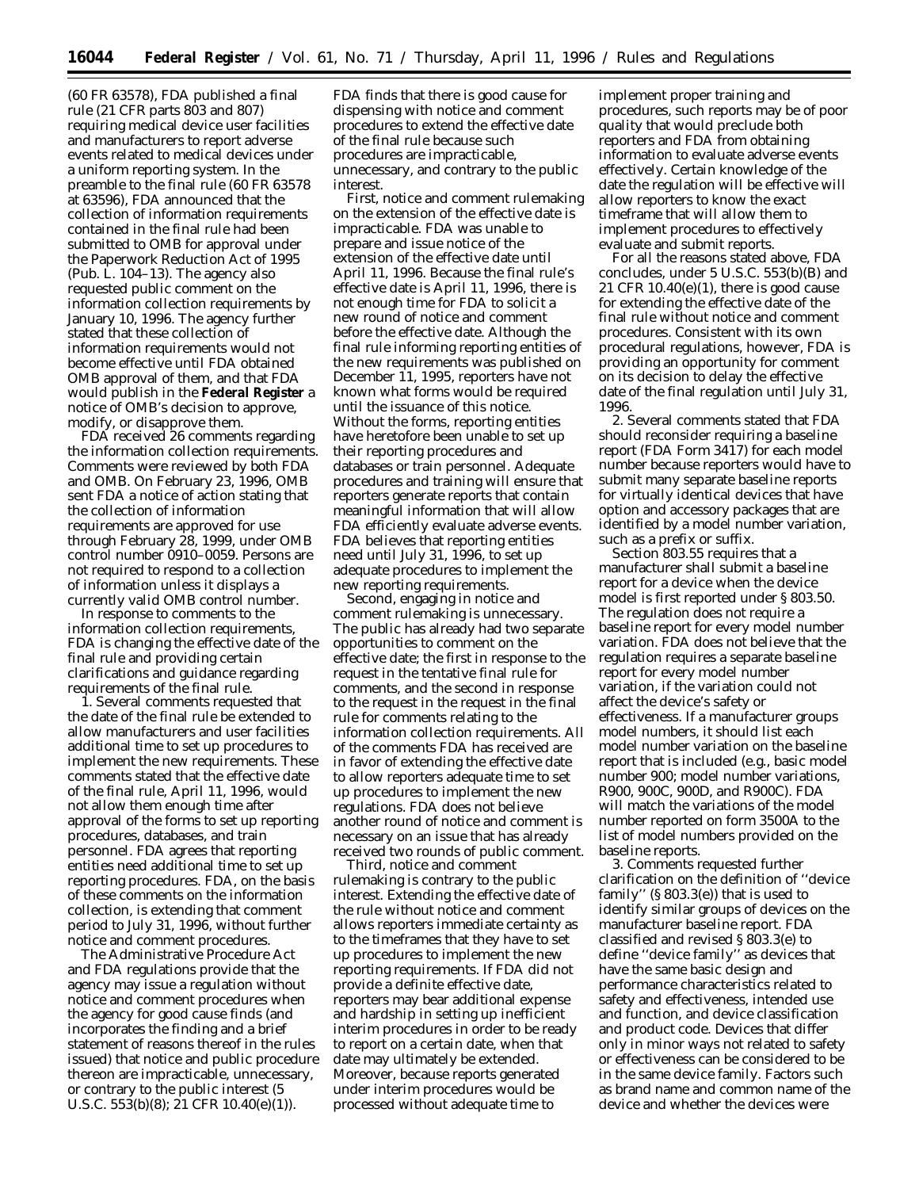(60 FR 63578), FDA published a final rule (21 CFR parts 803 and 807) requiring medical device user facilities and manufacturers to report adverse events related to medical devices under a uniform reporting system. In the preamble to the final rule (60 FR 63578 at 63596), FDA announced that the collection of information requirements contained in the final rule had been submitted to OMB for approval under the Paperwork Reduction Act of 1995 (Pub. L. 104–13). The agency also requested public comment on the information collection requirements by January 10, 1996. The agency further stated that these collection of information requirements would not become effective until FDA obtained OMB approval of them, and that FDA would publish in the **Federal Register** a notice of OMB's decision to approve, modify, or disapprove them.

FDA received 26 comments regarding the information collection requirements. Comments were reviewed by both FDA and OMB. On February 23, 1996, OMB sent FDA a notice of action stating that the collection of information requirements are approved for use through February 28, 1999, under OMB control number 0910–0059. Persons are not required to respond to a collection of information unless it displays a currently valid OMB control number.

In response to comments to the information collection requirements, FDA is changing the effective date of the final rule and providing certain clarifications and guidance regarding requirements of the final rule.

1. Several comments requested that the date of the final rule be extended to allow manufacturers and user facilities additional time to set up procedures to implement the new requirements. These comments stated that the effective date of the final rule, April 11, 1996, would not allow them enough time after approval of the forms to set up reporting procedures, databases, and train personnel. FDA agrees that reporting entities need additional time to set up reporting procedures. FDA, on the basis of these comments on the information collection, is extending that comment period to July 31, 1996, without further notice and comment procedures.

The Administrative Procedure Act and FDA regulations provide that the agency may issue a regulation without notice and comment procedures when the agency for good cause finds (and incorporates the finding and a brief statement of reasons thereof in the rules issued) that notice and public procedure thereon are impracticable, unnecessary, or contrary to the public interest (5 U.S.C. 553(b)(8); 21 CFR 10.40(e)(1)).

FDA finds that there is good cause for dispensing with notice and comment procedures to extend the effective date of the final rule because such procedures are impracticable, unnecessary, and contrary to the public interest.

First, notice and comment rulemaking on the extension of the effective date is impracticable. FDA was unable to prepare and issue notice of the extension of the effective date until April 11, 1996. Because the final rule's effective date is April 11, 1996, there is not enough time for FDA to solicit a new round of notice and comment before the effective date. Although the final rule informing reporting entities of the new requirements was published on December 11, 1995, reporters have not known what forms would be required until the issuance of this notice. Without the forms, reporting entities have heretofore been unable to set up their reporting procedures and databases or train personnel. Adequate procedures and training will ensure that reporters generate reports that contain meaningful information that will allow FDA efficiently evaluate adverse events. FDA believes that reporting entities need until July 31, 1996, to set up adequate procedures to implement the new reporting requirements.

Second, engaging in notice and comment rulemaking is unnecessary. The public has already had two separate opportunities to comment on the effective date; the first in response to the request in the tentative final rule for comments, and the second in response to the request in the request in the final rule for comments relating to the information collection requirements. All of the comments FDA has received are in favor of extending the effective date to allow reporters adequate time to set up procedures to implement the new regulations. FDA does not believe another round of notice and comment is necessary on an issue that has already received two rounds of public comment.

Third, notice and comment rulemaking is contrary to the public interest. Extending the effective date of the rule without notice and comment allows reporters immediate certainty as to the timeframes that they have to set up procedures to implement the new reporting requirements. If FDA did not provide a definite effective date, reporters may bear additional expense and hardship in setting up inefficient interim procedures in order to be ready to report on a certain date, when that date may ultimately be extended. Moreover, because reports generated under interim procedures would be processed without adequate time to

implement proper training and procedures, such reports may be of poor quality that would preclude both reporters and FDA from obtaining information to evaluate adverse events effectively. Certain knowledge of the date the regulation will be effective will allow reporters to know the exact timeframe that will allow them to implement procedures to effectively evaluate and submit reports.

For all the reasons stated above, FDA concludes, under 5 U.S.C. 553(b)(B) and 21 CFR  $10.40(e)(1)$ , there is good cause for extending the effective date of the final rule without notice and comment procedures. Consistent with its own procedural regulations, however, FDA is providing an opportunity for comment on its decision to delay the effective date of the final regulation until July 31, 1996.

2. Several comments stated that FDA should reconsider requiring a baseline report (FDA Form 3417) for each model number because reporters would have to submit many separate baseline reports for virtually identical devices that have option and accessory packages that are identified by a model number variation, such as a prefix or suffix.

Section 803.55 requires that a manufacturer shall submit a baseline report for a device when the device *model* is first reported under § 803.50. The regulation does not require a baseline report for every model number variation. FDA does not believe that the regulation requires a separate baseline report for every model number variation, if the variation could not affect the device's safety or effectiveness. If a manufacturer groups model numbers, it should list each model number variation on the baseline report that is included (e.g., basic model number 900; model number variations, R900, 900C, 900D, and R900C). FDA will match the variations of the model number reported on form 3500A to the list of model numbers provided on the baseline reports.

3. Comments requested further clarification on the definition of ''device family'' (§ 803.3(e)) that is used to identify similar groups of devices on the manufacturer baseline report. FDA classified and revised § 803.3(e) to define ''device family'' as devices that have the same basic design and performance characteristics related to safety and effectiveness, intended use and function, and device classification and product code. Devices that differ only in minor ways not related to safety or effectiveness can be considered to be in the same device family. Factors such as brand name and common name of the device and whether the devices were